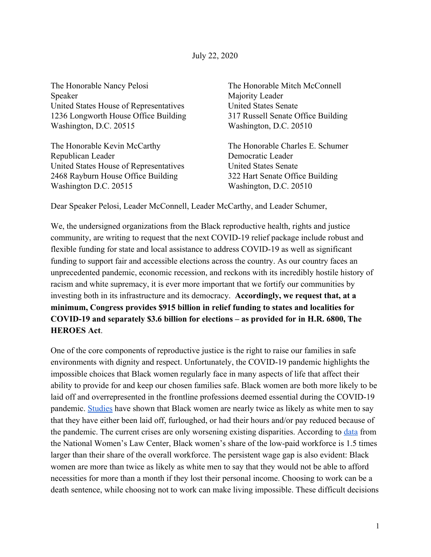The Honorable Nanc\ Pelosi Speaker United States House of Representatives 1236 Longworth House Office Building Washington, D.C. 20515

The Honorable Kevin McCarthy Republican Leader United States House of Representatives 2468 Rayburn House Office Building Washington D.C. 20515

The Honorable Mitch McConnell Majority Leader United States Senate 317 Russell Senate Office Building Washington, D.C. 20510

The Honorable Charles E. Schumer Democratic Leader United States Senate 322 Hart Senate Office Building Washington, D.C. 20510

Dear Speaker Pelosi, Leader McConnell, Leader McCarthy, and Leader Schumer,

We, the undersigned organizations from the Black reproductive health, rights and justice community, are writing to request that the next COVID-19 relief package include robust and flexible funding for state and local assistance to address COVID-19 as well as significant funding to support fair and accessible elections across the country. As our country faces an unprecedented pandemic, economic recession, and reckons with its incredibly hostile history of racism and white supremacy, it is ever more important that we fortify our communities by investing both in its infrastructure and its democracy. Accordingly, we request that, at a minimum, Congress provides \$915 billion in relief funding to states and localities for **COVID-19 and separately \$3.6 billion for elections – as provided for in H.R. 6800, The HEROES** Act

One of the core components of reproductive justice is the right to raise our families in safe environments with dignity and respect. Unfortunately, the COVID-19 pandemic highlights the impossible choices that Black women regularly face in many aspects of life that affect their ability to provide for and keep our chosen families safe. Black women are both more likely to be laid off and overrepresented in the frontline professions deemed essential during the COVID-19 pandemic. Studies have shown that Black women are nearly twice as likely as white men to say that they have either been laid off, furloughed, or had their hours and/or pay reduced because of the pandemic. The current crises are only worsening existing disparities. According to data from the National Women's Law Center, Black women's share of the low-paid workforce is 1.5 times larger than their share of the overall workforce. The persistent wage gap is also evident: Black women are more than twice as likely as white men to say that they would not be able to afford necessities for more than a month if they lost their personal income. Choosing to work can be a death sentence, while choosing not to work can make living impossible. These difficult decisions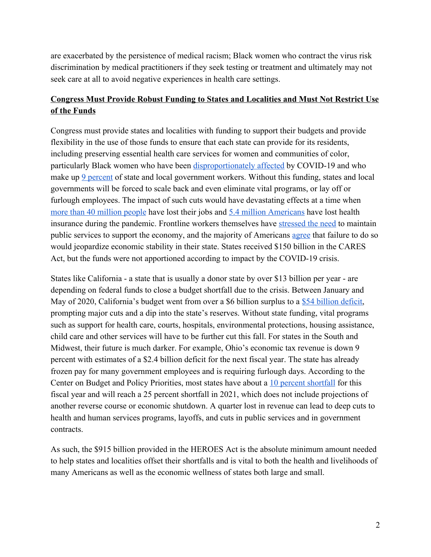are exacerbated by the persistence of medical racism; Black women who contract the virus risk discrimination by medical practitioners if they seek testing or treatment and ultimately may not seek care at all to avoid negative experiences in health care settings.

## **Congress Must Provide Robust Funding to States and Localities and Must Not Restrict Use** of the Funds

Congress must provide states and localities with funding to support their budgets and provide flexibility in the use of those funds to ensure that each state can provide for its residents, including preserving essential health care services for women and communities of color, particularly Black women who have been disproportionately affected by COVID-19 and who make up 9 percent of state and local government workers. Without this funding, states and local governments will be forced to scale back and even eliminate vital programs, or la\ off or furlough employees. The impact of such cuts would have devastating effects at a time when more than 40 million people have lost their jobs and 5.4 million Americans have lost health insurance during the pandemic. Frontline workers themselves have stressed the need to maintain public services to support the economy, and the majority of Americans agree that failure to do so would jeopardize economic stability in their state. States received \$150 billion in the CARES Act, but the funds were not apportioned according to impact by the COVID-19 crisis.

States like California - a state that is usually a donor state by over \$13 billion per year - are depending on federal funds to close a budget shortfall due to the crisis. Between January and May of 2020, California's budget went from over a \$6 billion surplus to a  $$54$  billion deficit, prompting major cuts and a dip into the state's reserves. Without state funding, vital programs such as support for health care, courts, hospitals, environmental protections, housing assistance, child care and other services will have to be further cut this fall. For states in the South and Midwest, their future is much darker. For example, Ohio's economic tax revenue is down 9 percent with estimates of a \$2.4 billion deficit for the next fiscal year. The state has already frozen pay for many government employees and is requiring furlough days. According to the Center on Budget and Policy Priorities, most states have about a 10 percent shortfall for this fiscal year and will reach a 25 percent shortfall in 2021, which does not include projections of another reverse course or economic shutdown. A quarter lost in revenue can lead to deep cuts to health and human services programs, layoffs, and cuts in public services and in government contracts.

As such, the \$915 billion provided in the HEROES Act is the absolute minimum amount needed to help states and localities offset their shortfalls and is vital to both the health and livelihoods of many Americans as well as the economic wellness of states both large and small.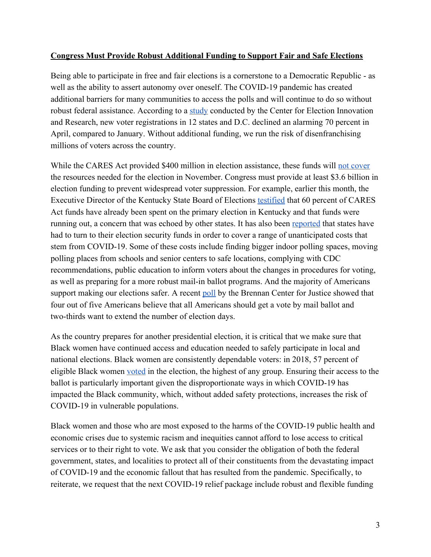## **Congress Must Provide Robust Additional Funding to Support Fair and Safe Elections**

Being able to participate in free and fair elections is a cornerstone to a Democratic Republic - as well as the ability to assert autonomy over oneself. The COVID-19 pandemic has created additional barriers for many communities to access the polls and will continue to do so without robust federal assistance. According to a study conducted by the Center for Election Innovation and Research, new voter registrations in 12 states and D.C. declined an alarming 70 percent in April, compared to January. Without additional funding, we run the risk of disenfranchising millions of voters across the country.

While the CARES Act provided \$400 million in election assistance, these funds will not cover the resources needed for the election in November. Congress must provide at least \$3.6 billion in election funding to prevent widespread voter suppression. For example, earlier this month, the Executive Director of the Kentucky State Board of Elections testified that 60 percent of CARES Act funds have already been spent on the primary election in Kentucky and that funds were running out, a concern that was echoed by other states. It has also been reported that states have had to turn to their election security funds in order to cover a range of unanticipated costs that stem from COVID-19. Some of these costs include finding bigger indoor polling spaces, moving polling places from schools and senior centers to safe locations, complying with CDC recommendations, public education to inform voters about the changes in procedures for voting, as well as preparing for a more robust mail-in ballot programs. And the majority of Americans support making our elections safer. A recent poll by the Brennan Center for Justice showed that four out of five Americans believe that all Americans should get a vote by mail ballot and two-thirds want to extend the number of election days.

As the country prepares for another presidential election, it is critical that we make sure that Black women have continued access and education needed to safely participate in local and national elections. Black women are consistently dependable voters: in 2018, 57 percent of eligible Black women voted in the election, the highest of any group. Ensuring their access to the ballot is particularly important given the disproportionate ways in which COVID-19 has impacted the Black community, which, without added safety protections, increases the risk of COVID-19 in vulnerable populations.

Black women and those who are most exposed to the harms of the COVID-19 public health and economic crises due to systemic racism and inequities cannot afford to lose access to critical services or to their right to vote. We ask that you consider the obligation of both the federal government, states, and localities to protect all of their constituents from the devastating impact of COVID-19 and the economic fallout that has resulted from the pandemic. Specificall\, to reiterate, we request that the next COVID-19 relief package include robust and flexible funding